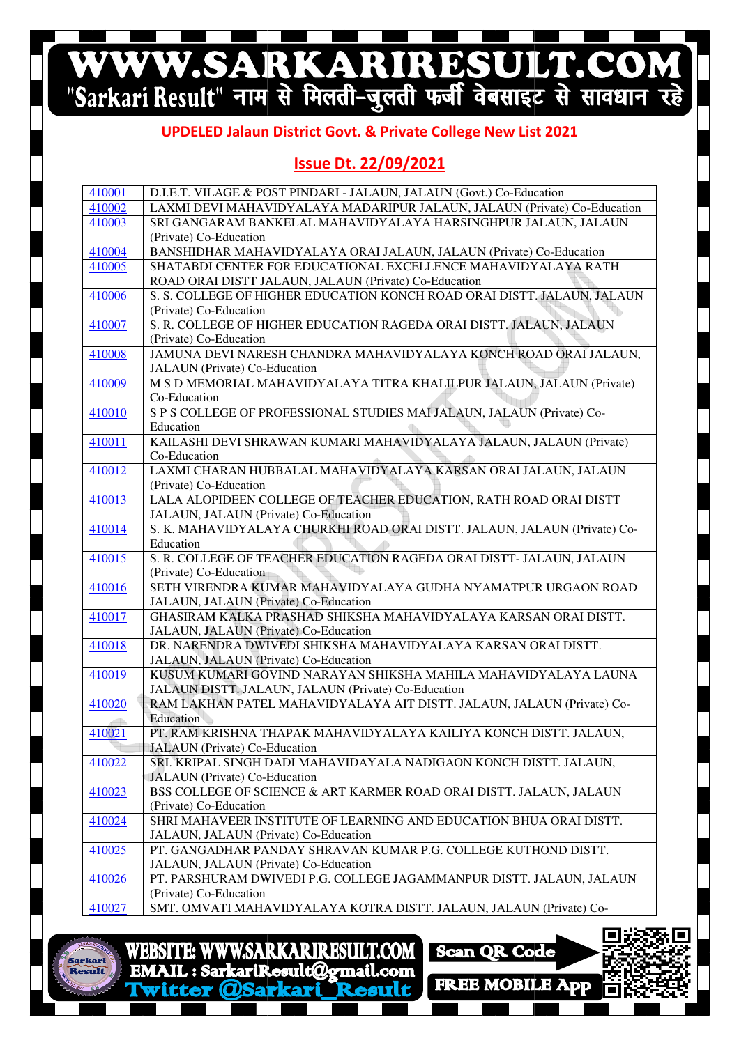# WWW.SARKARIRESULT.COM

#### **UPDELED Jalaun Jalaun District Govt. & Private College New List 2021**

#### **Issue Dt. 22/09/2021**

| 410001 | D.I.E.T. VILAGE & POST PINDARI - JALAUN, JALAUN (Govt.) Co-Education                                     |
|--------|----------------------------------------------------------------------------------------------------------|
| 410002 | LAXMI DEVI MAHAVIDYALAYA MADARIPUR JALAUN, JALAUN (Private) Co-Education                                 |
| 410003 | SRI GANGARAM BANKELAL MAHAVIDYALAYA HARSINGHPUR JALAUN, JALAUN                                           |
|        | (Private) Co-Education                                                                                   |
| 410004 | BANSHIDHAR MAHAVIDYALAYA ORAI JALAUN, JALAUN (Private) Co-Education                                      |
| 410005 | SHATABDI CENTER FOR EDUCATIONAL EXCELLENCE MAHAVIDYALAYA RATH                                            |
|        | ROAD ORAI DISTT JALAUN, JALAUN (Private) Co-Education                                                    |
| 410006 | S. S. COLLEGE OF HIGHER EDUCATION KONCH ROAD ORAI DISTT. JALAUN, JALAUN                                  |
|        | (Private) Co-Education                                                                                   |
| 410007 | S. R. COLLEGE OF HIGHER EDUCATION RAGEDA ORAI DISTT. JALAUN, JALAUN                                      |
|        | (Private) Co-Education                                                                                   |
| 410008 | JAMUNA DEVI NARESH CHANDRA MAHAVIDYALAYA KONCH ROAD ORAI JALAUN,                                         |
|        | JALAUN (Private) Co-Education                                                                            |
| 410009 | M S D MEMORIAL MAHAVIDYALAYA TITRA KHALILPUR JALAUN, JALAUN (Private)                                    |
|        | Co-Education                                                                                             |
| 410010 | S P S COLLEGE OF PROFESSIONAL STUDIES MAI JALAUN, JALAUN (Private) Co-                                   |
|        | Education                                                                                                |
| 410011 | KAILASHI DEVI SHRAWAN KUMARI MAHAVIDYALAYA JALAUN, JALAUN (Private)                                      |
|        | Co-Education                                                                                             |
| 410012 | LAXMI CHARAN HUBBALAL MAHAVIDYALAYA KARSAN ORAI JALAUN, JALAUN                                           |
|        | (Private) Co-Education                                                                                   |
| 410013 | LALA ALOPIDEEN COLLEGE OF TEACHER EDUCATION, RATH ROAD ORAI DISTT                                        |
|        | JALAUN, JALAUN (Private) Co-Education                                                                    |
| 410014 | S. K. MAHAVIDYALAYA CHURKHI ROAD ORAI DISTT. JALAUN, JALAUN (Private) Co-                                |
|        | Education                                                                                                |
| 410015 | S. R. COLLEGE OF TEACHER EDUCATION RAGEDA ORAI DISTT- JALAUN, JALAUN                                     |
|        | (Private) Co-Education                                                                                   |
| 410016 | SETH VIRENDRA KUMAR MAHAVIDYALAYA GUDHA NYAMATPUR URGAON ROAD                                            |
|        | JALAUN, JALAUN (Private) Co-Education<br>GHASIRAM KALKA PRASHAD SHIKSHA MAHAVIDYALAYA KARSAN ORAI DISTT. |
| 410017 | JALAUN, JALAUN (Private) Co-Education                                                                    |
| 410018 | DR. NARENDRA DWIVEDI SHIKSHA MAHAVIDYALAYA KARSAN ORAI DISTT.                                            |
|        | JALAUN, JALAUN (Private) Co-Education                                                                    |
| 410019 | KUSUM KUMARI GOVIND NARAYAN SHIKSHA MAHILA MAHAVIDYALAYA LAUNA                                           |
|        | JALAUN DISTT. JALAUN, JALAUN (Private) Co-Education                                                      |
| 410020 | RAM LAKHAN PATEL MAHAVIDYALAYA AIT DISTT. JALAUN, JALAUN (Private) Co-                                   |
|        | Education                                                                                                |
| 410021 | PT. RAM KRISHNA THAPAK MAHAVIDYALAYA KAILIYA KONCH DISTT. JALAUN,                                        |
|        | <b>JALAUN</b> (Private) Co-Education                                                                     |
| 410022 | SRI. KRIPAL SINGH DADI MAHAVIDAYALA NADIGAON KONCH DISTT. JALAUN,                                        |
|        | <b>JALAUN</b> (Private) Co-Education                                                                     |
| 410023 | BSS COLLEGE OF SCIENCE & ART KARMER ROAD ORAI DISTT. JALAUN, JALAUN                                      |
|        | (Private) Co-Education                                                                                   |
| 410024 | SHRI MAHAVEER INSTITUTE OF LEARNING AND EDUCATION BHUA ORAI DISTT.                                       |
|        | JALAUN, JALAUN (Private) Co-Education                                                                    |
| 410025 | PT. GANGADHAR PANDAY SHRAVAN KUMAR P.G. COLLEGE KUTHOND DISTT.                                           |
|        | JALAUN, JALAUN (Private) Co-Education                                                                    |
| 410026 | PT. PARSHURAM DWIVEDI P.G. COLLEGE JAGAMMANPUR DISTT. JALAUN, JALAUN                                     |
|        | (Private) Co-Education                                                                                   |
| 410027 | SMT. OMVATI MAHAVIDYALAYA KOTRA DISTT. JALAUN, JALAUN (Private) Co-                                      |
|        |                                                                                                          |



**WWW.SARKARIRESULT.COM WEBSITE:** EMAIL: SarkariResult@gmail.com